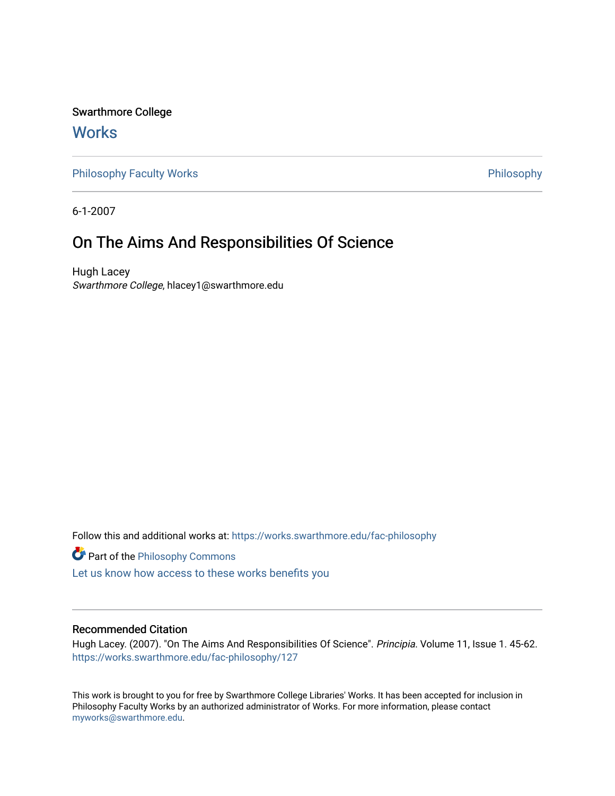Swarthmore College

# **Works**

[Philosophy Faculty Works](https://works.swarthmore.edu/fac-philosophy) **Philosophy** Philosophy

6-1-2007

# On The Aims And Responsibilities Of Science

Hugh Lacey Swarthmore College, hlacey1@swarthmore.edu

Follow this and additional works at: [https://works.swarthmore.edu/fac-philosophy](https://works.swarthmore.edu/fac-philosophy?utm_source=works.swarthmore.edu%2Ffac-philosophy%2F127&utm_medium=PDF&utm_campaign=PDFCoverPages) 

**Part of the Philosophy Commons** 

[Let us know how access to these works benefits you](https://forms.gle/4MB8mE2GywC5965J8) 

### Recommended Citation

Hugh Lacey. (2007). "On The Aims And Responsibilities Of Science". Principia. Volume 11, Issue 1. 45-62. <https://works.swarthmore.edu/fac-philosophy/127>

This work is brought to you for free by Swarthmore College Libraries' Works. It has been accepted for inclusion in Philosophy Faculty Works by an authorized administrator of Works. For more information, please contact [myworks@swarthmore.edu.](mailto:myworks@swarthmore.edu)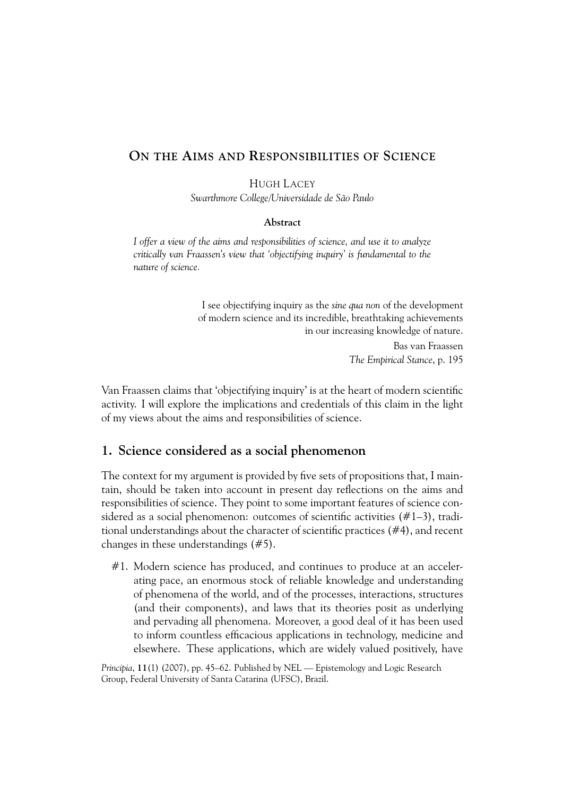# **ON THE AIMS AND RESPONSIBILITIES OF SCIENCE**

HUGH LACEY

*Swarthmore College/Universidade de São Paulo*

#### **Abstract**

*I offer a view of the aims and responsibilities of science, and use it to analyze critically van Fraassen's view that 'objectifying inquiry' is fundamental to the nature of science.*

> I see objectifying inquiry as the *sine qua non* of the development of modern science and its incredible, breathtaking achievements in our increasing knowledge of nature. Bas van Fraassen *The Empirical Stance*, p. 195

Van Fraassen claims that 'objectifying inquiry' is at the heart of modern scientific activity. I will explore the implications and credentials of this claim in the light of my views about the aims and responsibilities of science.

### **1. Science considered as a social phenomenon**

The context for my argument is provided by five sets of propositions that, I maintain, should be taken into account in present day reflections on the aims and responsibilities of science. They point to some important features of science considered as a social phenomenon: outcomes of scientific activities (#1–3), traditional understandings about the character of scientific practices (#4), and recent changes in these understandings (#5).

#1. Modern science has produced, and continues to produce at an accelerating pace, an enormous stock of reliable knowledge and understanding of phenomena of the world, and of the processes, interactions, structures (and their components), and laws that its theories posit as underlying and pervading all phenomena. Moreover, a good deal of it has been used to inform countless efficacious applications in technology, medicine and elsewhere. These applications, which are widely valued positively, have

*Principia*, **11**(1) (2007), pp. 45–62. Published by NEL — Epistemology and Logic Research Group, Federal University of Santa Catarina (UFSC), Brazil.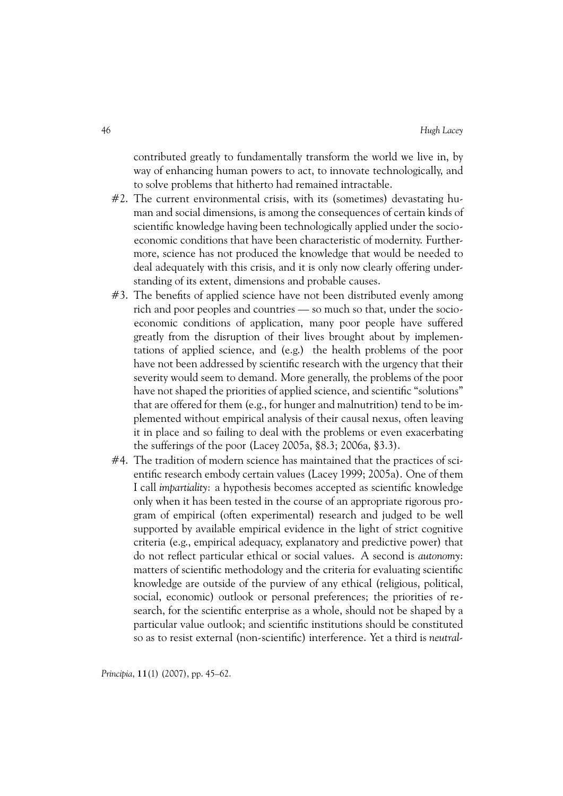contributed greatly to fundamentally transform the world we live in, by way of enhancing human powers to act, to innovate technologically, and to solve problems that hitherto had remained intractable.

- #2. The current environmental crisis, with its (sometimes) devastating human and social dimensions, is among the consequences of certain kinds of scientific knowledge having been technologically applied under the socioeconomic conditions that have been characteristic of modernity. Furthermore, science has not produced the knowledge that would be needed to deal adequately with this crisis, and it is only now clearly offering understanding of its extent, dimensions and probable causes.
- #3. The benefits of applied science have not been distributed evenly among rich and poor peoples and countries — so much so that, under the socioeconomic conditions of application, many poor people have suffered greatly from the disruption of their lives brought about by implementations of applied science, and (e.g.) the health problems of the poor have not been addressed by scientific research with the urgency that their severity would seem to demand. More generally, the problems of the poor have not shaped the priorities of applied science, and scientific "solutions" that are offered for them (e.g., for hunger and malnutrition) tend to be implemented without empirical analysis of their causal nexus, often leaving it in place and so failing to deal with the problems or even exacerbating the sufferings of the poor (Lacey 2005a, §8.3; 2006a, §3.3).
- #4. The tradition of modern science has maintained that the practices of scientific research embody certain values (Lacey 1999; 2005a). One of them I call *impartiality*: a hypothesis becomes accepted as scientific knowledge only when it has been tested in the course of an appropriate rigorous program of empirical (often experimental) research and judged to be well supported by available empirical evidence in the light of strict cognitive criteria (e.g., empirical adequacy, explanatory and predictive power) that do not reflect particular ethical or social values. A second is *autonomy*: matters of scientific methodology and the criteria for evaluating scientific knowledge are outside of the purview of any ethical (religious, political, social, economic) outlook or personal preferences; the priorities of research, for the scientific enterprise as a whole, should not be shaped by a particular value outlook; and scientific institutions should be constituted so as to resist external (non-scientific) interference. Yet a third is *neutral-*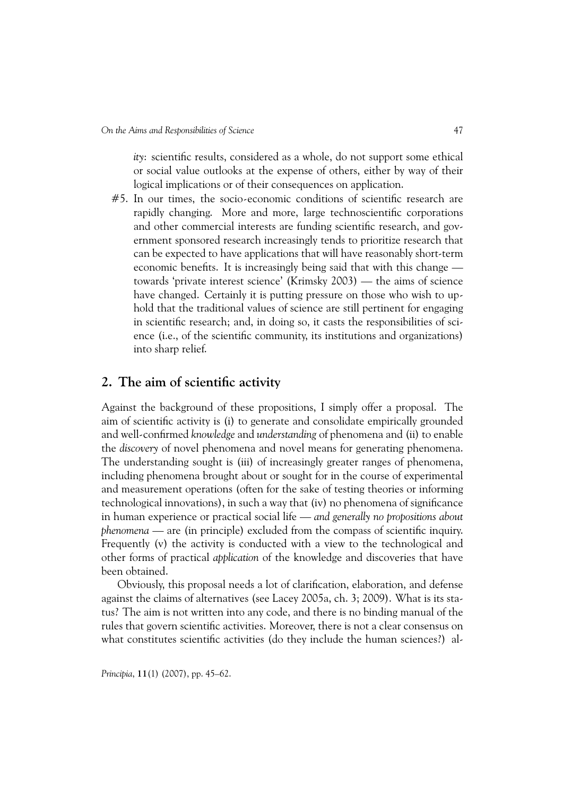*ity*: scientific results, considered as a whole, do not support some ethical or social value outlooks at the expense of others, either by way of their logical implications or of their consequences on application.

#5. In our times, the socio-economic conditions of scientific research are rapidly changing. More and more, large technoscientific corporations and other commercial interests are funding scientific research, and government sponsored research increasingly tends to prioritize research that can be expected to have applications that will have reasonably short-term economic benefits. It is increasingly being said that with this change towards 'private interest science' (Krimsky 2003) — the aims of science have changed. Certainly it is putting pressure on those who wish to uphold that the traditional values of science are still pertinent for engaging in scientific research; and, in doing so, it casts the responsibilities of science (i.e., of the scientific community, its institutions and organizations) into sharp relief.

## **2. The aim of scientific activity**

Against the background of these propositions, I simply offer a proposal. The aim of scientific activity is (i) to generate and consolidate empirically grounded and well-confirmed *knowledge* and *understanding* of phenomena and (ii) to enable the *discovery* of novel phenomena and novel means for generating phenomena. The understanding sought is (iii) of increasingly greater ranges of phenomena, including phenomena brought about or sought for in the course of experimental and measurement operations (often for the sake of testing theories or informing technological innovations), in such a way that (iv) no phenomena of significance in human experience or practical social life — *and generally no propositions about phenomena* — are (in principle) excluded from the compass of scientific inquiry. Frequently (v) the activity is conducted with a view to the technological and other forms of practical *application* of the knowledge and discoveries that have been obtained.

Obviously, this proposal needs a lot of clarification, elaboration, and defense against the claims of alternatives (see Lacey 2005a, ch. 3; 2009). What is its status? The aim is not written into any code, and there is no binding manual of the rules that govern scientific activities. Moreover, there is not a clear consensus on what constitutes scientific activities (do they include the human sciences?) al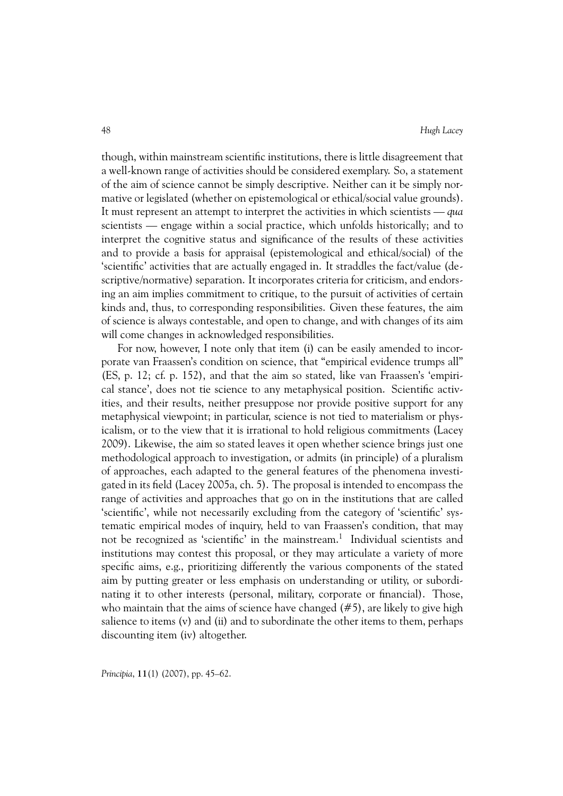though, within mainstream scientific institutions, there is little disagreement that a well-known range of activities should be considered exemplary. So, a statement of the aim of science cannot be simply descriptive. Neither can it be simply normative or legislated (whether on epistemological or ethical/social value grounds). It must represent an attempt to interpret the activities in which scientists — *qua* scientists — engage within a social practice, which unfolds historically; and to interpret the cognitive status and significance of the results of these activities and to provide a basis for appraisal (epistemological and ethical/social) of the 'scientific' activities that are actually engaged in. It straddles the fact/value (descriptive/normative) separation. It incorporates criteria for criticism, and endorsing an aim implies commitment to critique, to the pursuit of activities of certain kinds and, thus, to corresponding responsibilities. Given these features, the aim of science is always contestable, and open to change, and with changes of its aim will come changes in acknowledged responsibilities.

For now, however, I note only that item (i) can be easily amended to incorporate van Fraassen's condition on science, that "empirical evidence trumps all" (ES, p. 12; cf. p. 152), and that the aim so stated, like van Fraassen's 'empirical stance', does not tie science to any metaphysical position. Scientific activities, and their results, neither presuppose nor provide positive support for any metaphysical viewpoint; in particular, science is not tied to materialism or physicalism, or to the view that it is irrational to hold religious commitments (Lacey 2009). Likewise, the aim so stated leaves it open whether science brings just one methodological approach to investigation, or admits (in principle) of a pluralism of approaches, each adapted to the general features of the phenomena investigated in its field (Lacey 2005a, ch. 5). The proposal is intended to encompass the range of activities and approaches that go on in the institutions that are called 'scientific', while not necessarily excluding from the category of 'scientific' systematic empirical modes of inquiry, held to van Fraassen's condition, that may not be recognized as 'scientific' in the mainstream.<sup>1</sup> Individual scientists and institutions may contest this proposal, or they may articulate a variety of more specific aims, e.g., prioritizing differently the various components of the stated aim by putting greater or less emphasis on understanding or utility, or subordinating it to other interests (personal, military, corporate or financial). Those, who maintain that the aims of science have changed  $(\#5)$ , are likely to give high salience to items (v) and (ii) and to subordinate the other items to them, perhaps discounting item (iv) altogether.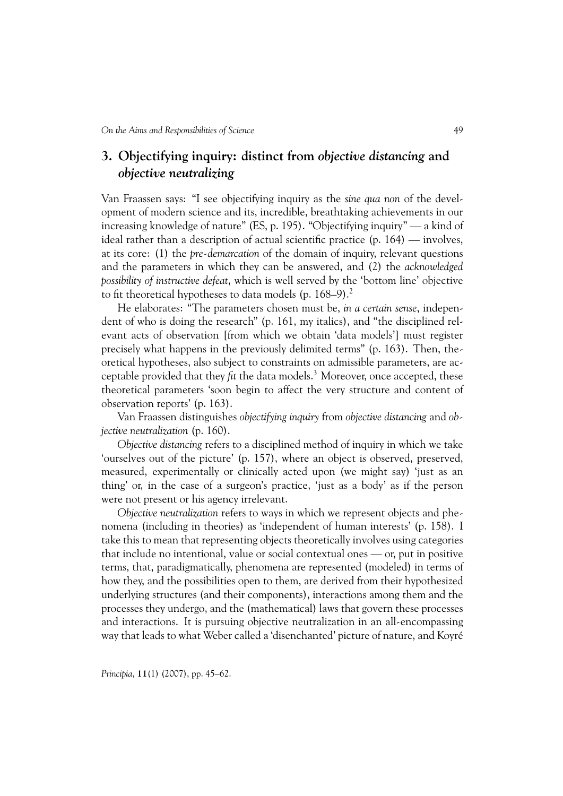# **3. Objectifying inquiry: distinct from** *objective distancing* **and** *objective neutralizing*

Van Fraassen says: "I see objectifying inquiry as the *sine qua non* of the development of modern science and its, incredible, breathtaking achievements in our increasing knowledge of nature" (ES, p. 195). "Objectifying inquiry" — a kind of ideal rather than a description of actual scientific practice (p. 164) — involves, at its core: (1) the *pre-demarcation* of the domain of inquiry, relevant questions and the parameters in which they can be answered, and (2) the *acknowledged possibility of instructive defeat*, which is well served by the 'bottom line' objective to fit theoretical hypotheses to data models (p.  $168-9$ ).<sup>2</sup>

He elaborates: "The parameters chosen must be, *in a certain sense*, independent of who is doing the research" (p. 161, my italics), and "the disciplined relevant acts of observation [from which we obtain 'data models'] must register precisely what happens in the previously delimited terms" (p. 163). Then, theoretical hypotheses, also subject to constraints on admissible parameters, are acceptable provided that they *fit* the data models.<sup>3</sup> Moreover, once accepted, these theoretical parameters 'soon begin to affect the very structure and content of observation reports' (p. 163).

Van Fraassen distinguishes *objectifying inquiry* from *objective distancing* and *objective neutralization* (p. 160).

*Objective distancing* refers to a disciplined method of inquiry in which we take 'ourselves out of the picture' (p. 157), where an object is observed, preserved, measured, experimentally or clinically acted upon (we might say) 'just as an thing' or, in the case of a surgeon's practice, 'just as a body' as if the person were not present or his agency irrelevant.

*Objective neutralization* refers to ways in which we represent objects and phenomena (including in theories) as 'independent of human interests' (p. 158). I take this to mean that representing objects theoretically involves using categories that include no intentional, value or social contextual ones — or, put in positive terms, that, paradigmatically, phenomena are represented (modeled) in terms of how they, and the possibilities open to them, are derived from their hypothesized underlying structures (and their components), interactions among them and the processes they undergo, and the (mathematical) laws that govern these processes and interactions. It is pursuing objective neutralization in an all-encompassing way that leads to what Weber called a 'disenchanted' picture of nature, and Koyré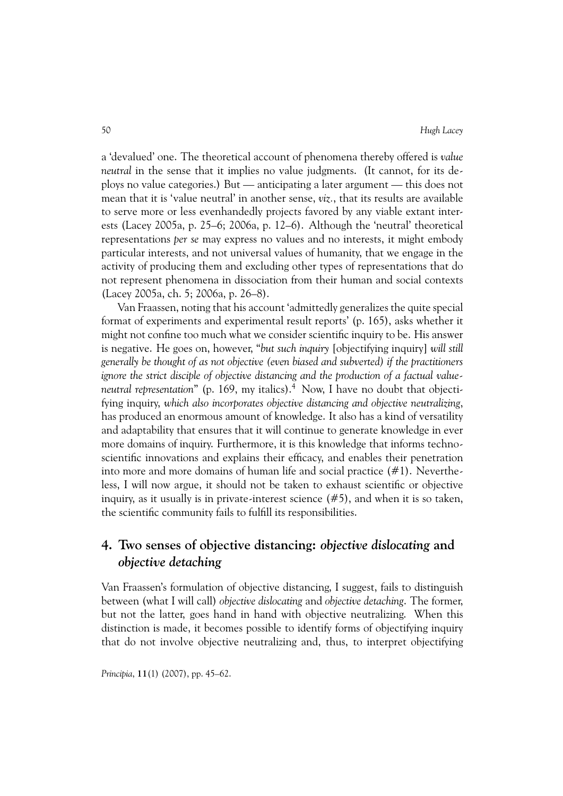a 'devalued' one. The theoretical account of phenomena thereby offered is *value neutral* in the sense that it implies no value judgments. (It cannot, for its deploys no value categories.) But — anticipating a later argument — this does not mean that it is 'value neutral' in another sense, *viz.*, that its results are available to serve more or less evenhandedly projects favored by any viable extant interests (Lacey 2005a, p. 25–6; 2006a, p. 12–6). Although the 'neutral' theoretical representations *per se* may express no values and no interests, it might embody particular interests, and not universal values of humanity, that we engage in the activity of producing them and excluding other types of representations that do not represent phenomena in dissociation from their human and social contexts (Lacey 2005a, ch. 5; 2006a, p. 26–8).

Van Fraassen, noting that his account 'admittedly generalizes the quite special format of experiments and experimental result reports' (p. 165), asks whether it might not confine too much what we consider scientific inquiry to be. His answer is negative. He goes on, however, "*but such inquiry* [objectifying inquiry] *will still generally be thought of as not objective (even biased and subverted) if the practitioners ignore the strict disciple of objective distancing and the production of a factual valueneutral representation*" (p. 169, my italics).<sup>4</sup> Now, I have no doubt that objectifying inquiry, *which also incorporates objective distancing and objective neutralizing*, has produced an enormous amount of knowledge. It also has a kind of versatility and adaptability that ensures that it will continue to generate knowledge in ever more domains of inquiry. Furthermore, it is this knowledge that informs technoscientific innovations and explains their efficacy, and enables their penetration into more and more domains of human life and social practice  $(\#1)$ . Nevertheless, I will now argue, it should not be taken to exhaust scientific or objective inquiry, as it usually is in private-interest science  $(\# 5)$ , and when it is so taken, the scientific community fails to fulfill its responsibilities.

# **4. Two senses of objective distancing:** *objective dislocating* **and** *objective detaching*

Van Fraassen's formulation of objective distancing, I suggest, fails to distinguish between (what I will call) *objective dislocating* and *objective detaching*. The former, but not the latter, goes hand in hand with objective neutralizing. When this distinction is made, it becomes possible to identify forms of objectifying inquiry that do not involve objective neutralizing and, thus, to interpret objectifying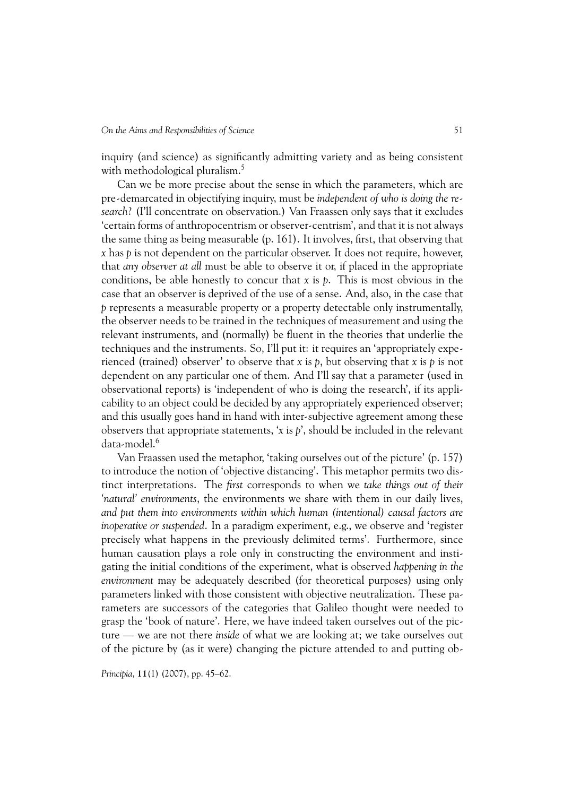inquiry (and science) as significantly admitting variety and as being consistent with methodological pluralism.<sup>5</sup>

Can we be more precise about the sense in which the parameters, which are pre-demarcated in objectifying inquiry, must be *independent of who is doing the research*? (I'll concentrate on observation.) Van Fraassen only says that it excludes 'certain forms of anthropocentrism or observer-centrism', and that it is not always the same thing as being measurable (p. 161). It involves, first, that observing that *x* has *p* is not dependent on the particular observer. It does not require, however, that *any observer at all* must be able to observe it or, if placed in the appropriate conditions, be able honestly to concur that *x* is *p*. This is most obvious in the case that an observer is deprived of the use of a sense. And, also, in the case that *p* represents a measurable property or a property detectable only instrumentally, the observer needs to be trained in the techniques of measurement and using the relevant instruments, and (normally) be fluent in the theories that underlie the techniques and the instruments. So, I'll put it: it requires an 'appropriately experienced (trained) observer' to observe that *x* is *p*, but observing that *x* is *p* is not dependent on any particular one of them. And I'll say that a parameter (used in observational reports) is 'independent of who is doing the research', if its applicability to an object could be decided by any appropriately experienced observer; and this usually goes hand in hand with inter-subjective agreement among these observers that appropriate statements, '*x* is *p*', should be included in the relevant data-model.6

Van Fraassen used the metaphor, 'taking ourselves out of the picture' (p. 157) to introduce the notion of 'objective distancing'. This metaphor permits two distinct interpretations. The *first* corresponds to when we *take things out of their 'natural' environments*, the environments we share with them in our daily lives, *and put them into environments within which human (intentional) causal factors are inoperative or suspended*. In a paradigm experiment, e.g., we observe and 'register precisely what happens in the previously delimited terms'. Furthermore, since human causation plays a role only in constructing the environment and instigating the initial conditions of the experiment, what is observed *happening in the environment* may be adequately described (for theoretical purposes) using only parameters linked with those consistent with objective neutralization. These parameters are successors of the categories that Galileo thought were needed to grasp the 'book of nature'. Here, we have indeed taken ourselves out of the picture — we are not there *inside* of what we are looking at; we take ourselves out of the picture by (as it were) changing the picture attended to and putting ob-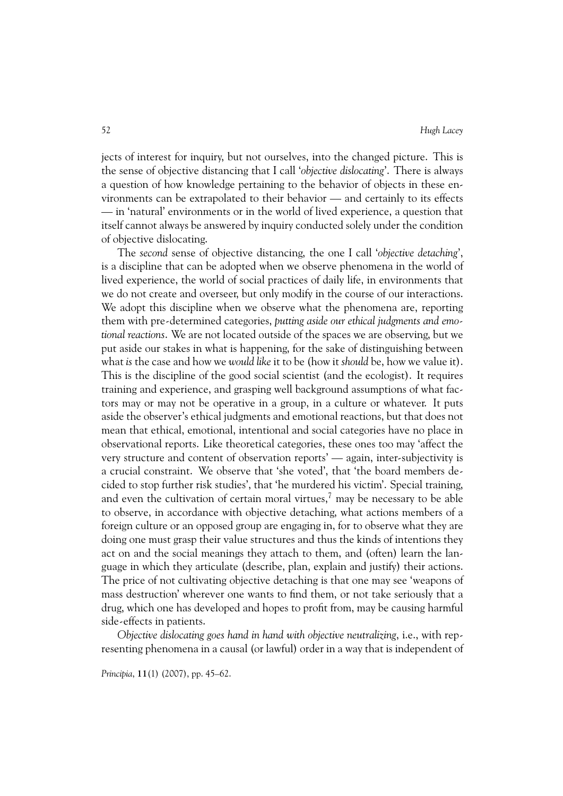jects of interest for inquiry, but not ourselves, into the changed picture. This is the sense of objective distancing that I call '*objective dislocating*'. There is always a question of how knowledge pertaining to the behavior of objects in these environments can be extrapolated to their behavior — and certainly to its effects — in 'natural' environments or in the world of lived experience, a question that itself cannot always be answered by inquiry conducted solely under the condition of objective dislocating.

The *second* sense of objective distancing, the one I call '*objective detaching*', is a discipline that can be adopted when we observe phenomena in the world of lived experience, the world of social practices of daily life, in environments that we do not create and overseer, but only modify in the course of our interactions. We adopt this discipline when we observe what the phenomena are, reporting them with pre-determined categories, *putting aside our ethical judgments and emotional reactions*. We are not located outside of the spaces we are observing, but we put aside our stakes in what is happening, for the sake of distinguishing between what *is* the case and how we *would like* it to be (how it *should* be, how we value it). This is the discipline of the good social scientist (and the ecologist). It requires training and experience, and grasping well background assumptions of what factors may or may not be operative in a group, in a culture or whatever. It puts aside the observer's ethical judgments and emotional reactions, but that does not mean that ethical, emotional, intentional and social categories have no place in observational reports. Like theoretical categories, these ones too may 'affect the very structure and content of observation reports' — again, inter-subjectivity is a crucial constraint. We observe that 'she voted', that 'the board members decided to stop further risk studies', that 'he murdered his victim'. Special training, and even the cultivation of certain moral virtues,<sup>7</sup> may be necessary to be able to observe, in accordance with objective detaching, what actions members of a foreign culture or an opposed group are engaging in, for to observe what they are doing one must grasp their value structures and thus the kinds of intentions they act on and the social meanings they attach to them, and (often) learn the language in which they articulate (describe, plan, explain and justify) their actions. The price of not cultivating objective detaching is that one may see 'weapons of mass destruction' wherever one wants to find them, or not take seriously that a drug, which one has developed and hopes to profit from, may be causing harmful side-effects in patients.

*Objective dislocating goes hand in hand with objective neutralizing*, i.e., with representing phenomena in a causal (or lawful) order in a way that is independent of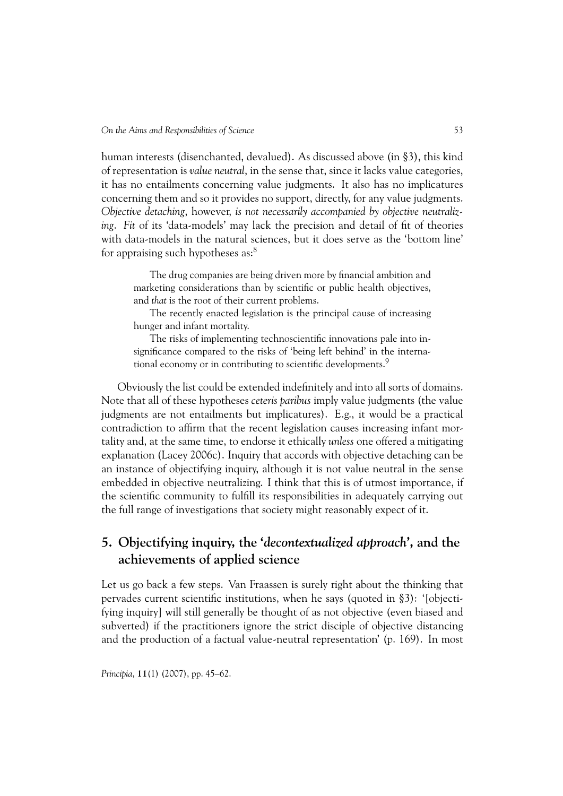human interests (disenchanted, devalued). As discussed above (in §3), this kind of representation is *value neutral*, in the sense that, since it lacks value categories, it has no entailments concerning value judgments. It also has no implicatures concerning them and so it provides no support, directly, for any value judgments. *Objective detaching*, however, *is not necessarily accompanied by objective neutralizing*. *Fit* of its 'data-models' may lack the precision and detail of fit of theories with data-models in the natural sciences, but it does serve as the 'bottom line' for appraising such hypotheses as: $8<sup>8</sup>$ 

The drug companies are being driven more by financial ambition and marketing considerations than by scientific or public health objectives, and *that* is the root of their current problems.

The recently enacted legislation is the principal cause of increasing hunger and infant mortality.

The risks of implementing technoscientific innovations pale into insignificance compared to the risks of 'being left behind' in the international economy or in contributing to scientific developments.<sup>9</sup>

Obviously the list could be extended indefinitely and into all sorts of domains. Note that all of these hypotheses *ceteris paribus* imply value judgments (the value judgments are not entailments but implicatures). E.g., it would be a practical contradiction to affirm that the recent legislation causes increasing infant mortality and, at the same time, to endorse it ethically *unless* one offered a mitigating explanation (Lacey 2006c). Inquiry that accords with objective detaching can be an instance of objectifying inquiry, although it is not value neutral in the sense embedded in objective neutralizing. I think that this is of utmost importance, if the scientific community to fulfill its responsibilities in adequately carrying out the full range of investigations that society might reasonably expect of it.

# **5. Objectifying inquiry, the '***decontextualized approach***', and the achievements of applied science**

Let us go back a few steps. Van Fraassen is surely right about the thinking that pervades current scientific institutions, when he says (quoted in §3): '[objectifying inquiry] will still generally be thought of as not objective (even biased and subverted) if the practitioners ignore the strict disciple of objective distancing and the production of a factual value-neutral representation' (p. 169). In most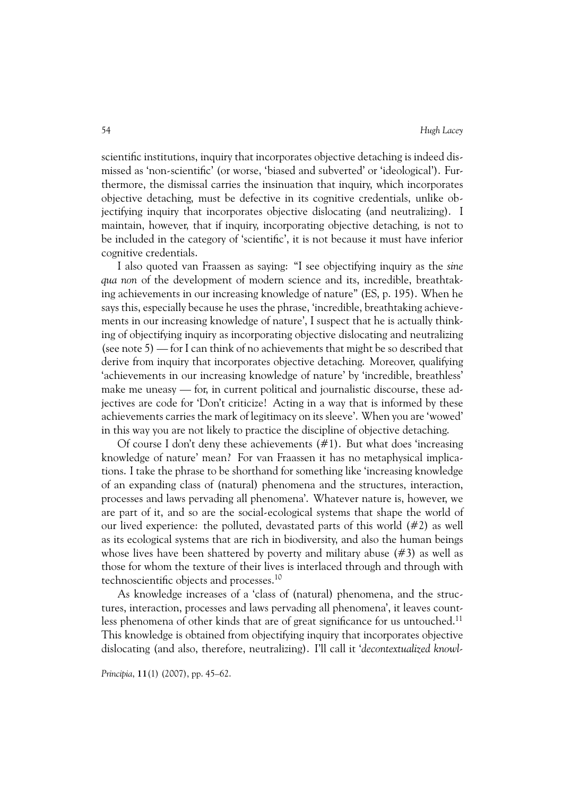scientific institutions, inquiry that incorporates objective detaching is indeed dismissed as 'non-scientific' (or worse, 'biased and subverted' or 'ideological'). Furthermore, the dismissal carries the insinuation that inquiry, which incorporates objective detaching, must be defective in its cognitive credentials, unlike objectifying inquiry that incorporates objective dislocating (and neutralizing). I maintain, however, that if inquiry, incorporating objective detaching, is not to be included in the category of 'scientific', it is not because it must have inferior cognitive credentials.

I also quoted van Fraassen as saying: "I see objectifying inquiry as the *sine qua non* of the development of modern science and its, incredible, breathtaking achievements in our increasing knowledge of nature" (ES, p. 195). When he says this, especially because he uses the phrase, 'incredible, breathtaking achievements in our increasing knowledge of nature', I suspect that he is actually thinking of objectifying inquiry as incorporating objective dislocating and neutralizing (see note 5) — for I can think of no achievements that might be so described that derive from inquiry that incorporates objective detaching. Moreover, qualifying 'achievements in our increasing knowledge of nature' by 'incredible, breathless' make me uneasy — for, in current political and journalistic discourse, these adjectives are code for 'Don't criticize! Acting in a way that is informed by these achievements carries the mark of legitimacy on its sleeve'. When you are 'wowed' in this way you are not likely to practice the discipline of objective detaching.

Of course I don't deny these achievements (#1). But what does 'increasing knowledge of nature' mean? For van Fraassen it has no metaphysical implications. I take the phrase to be shorthand for something like 'increasing knowledge of an expanding class of (natural) phenomena and the structures, interaction, processes and laws pervading all phenomena'. Whatever nature is, however, we are part of it, and so are the social-ecological systems that shape the world of our lived experience: the polluted, devastated parts of this world  $(\#2)$  as well as its ecological systems that are rich in biodiversity, and also the human beings whose lives have been shattered by poverty and military abuse (#3) as well as those for whom the texture of their lives is interlaced through and through with technoscientific objects and processes.10

As knowledge increases of a 'class of (natural) phenomena, and the structures, interaction, processes and laws pervading all phenomena', it leaves countless phenomena of other kinds that are of great significance for us untouched.<sup>11</sup> This knowledge is obtained from objectifying inquiry that incorporates objective dislocating (and also, therefore, neutralizing). I'll call it '*decontextualized knowl-*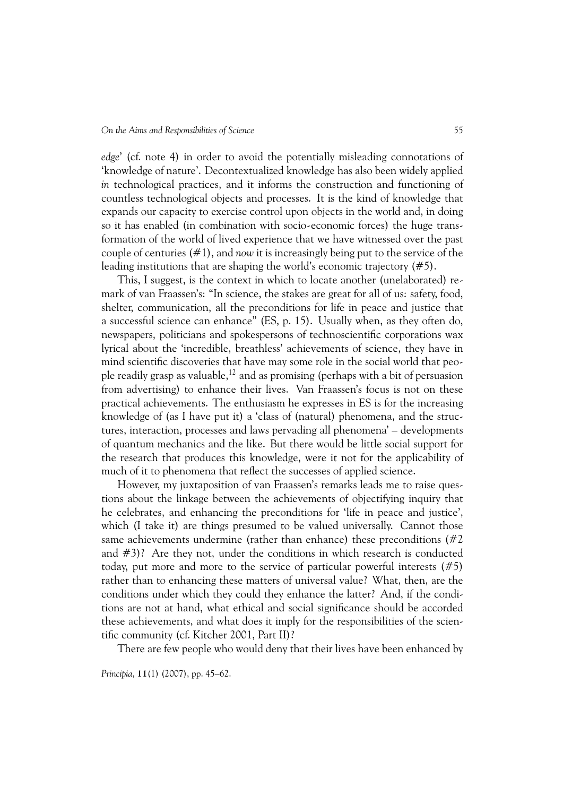*edge*' (cf. note 4) in order to avoid the potentially misleading connotations of 'knowledge of nature'. Decontextualized knowledge has also been widely applied *in* technological practices, and it informs the construction and functioning of countless technological objects and processes. It is the kind of knowledge that expands our capacity to exercise control upon objects in the world and, in doing so it has enabled (in combination with socio-economic forces) the huge transformation of the world of lived experience that we have witnessed over the past couple of centuries (#1), and *now* it is increasingly being put to the service of the leading institutions that are shaping the world's economic trajectory (#5).

This, I suggest, is the context in which to locate another (unelaborated) remark of van Fraassen's: "In science, the stakes are great for all of us: safety, food, shelter, communication, all the preconditions for life in peace and justice that a successful science can enhance" (ES, p. 15). Usually when, as they often do, newspapers, politicians and spokespersons of technoscientific corporations wax lyrical about the 'incredible, breathless' achievements of science, they have in mind scientific discoveries that have may some role in the social world that people readily grasp as valuable,<sup>12</sup> and as promising (perhaps with a bit of persuasion from advertising) to enhance their lives. Van Fraassen's focus is not on these practical achievements. The enthusiasm he expresses in ES is for the increasing knowledge of (as I have put it) a 'class of (natural) phenomena, and the structures, interaction, processes and laws pervading all phenomena' – developments of quantum mechanics and the like. But there would be little social support for the research that produces this knowledge, were it not for the applicability of much of it to phenomena that reflect the successes of applied science.

However, my juxtaposition of van Fraassen's remarks leads me to raise questions about the linkage between the achievements of objectifying inquiry that he celebrates, and enhancing the preconditions for 'life in peace and justice', which (I take it) are things presumed to be valued universally. Cannot those same achievements undermine (rather than enhance) these preconditions  $(\#2)$ and #3)? Are they not, under the conditions in which research is conducted today, put more and more to the service of particular powerful interests (#5) rather than to enhancing these matters of universal value? What, then, are the conditions under which they could they enhance the latter? And, if the conditions are not at hand, what ethical and social significance should be accorded these achievements, and what does it imply for the responsibilities of the scientific community (cf. Kitcher 2001, Part II)?

There are few people who would deny that their lives have been enhanced by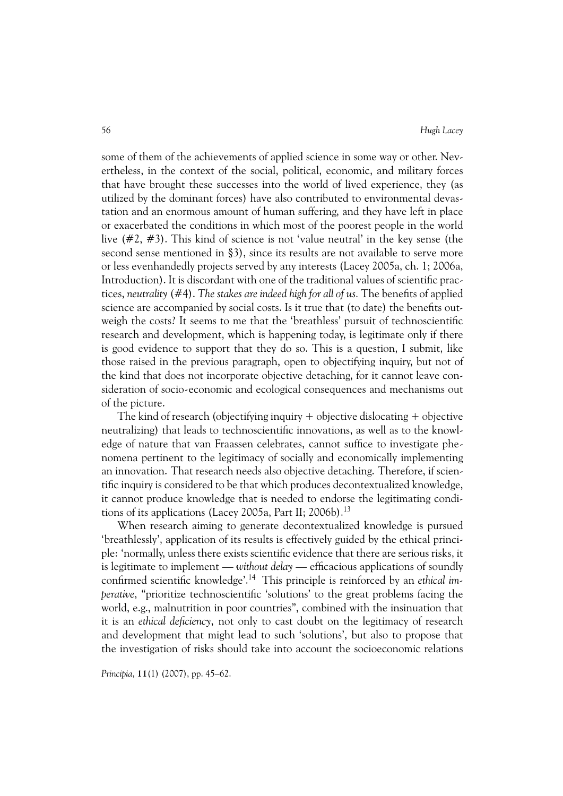some of them of the achievements of applied science in some way or other. Nevertheless, in the context of the social, political, economic, and military forces that have brought these successes into the world of lived experience, they (as utilized by the dominant forces) have also contributed to environmental devastation and an enormous amount of human suffering, and they have left in place or exacerbated the conditions in which most of the poorest people in the world live (#2, #3). This kind of science is not 'value neutral' in the key sense (the second sense mentioned in §3), since its results are not available to serve more or less evenhandedly projects served by any interests (Lacey 2005a, ch. 1; 2006a, Introduction). It is discordant with one of the traditional values of scientific practices, *neutrality* (#4). *The stakes are indeed high for all of us.* The benefits of applied science are accompanied by social costs. Is it true that (to date) the benefits outweigh the costs? It seems to me that the 'breathless' pursuit of technoscientific research and development, which is happening today, is legitimate only if there is good evidence to support that they do so. This is a question, I submit, like those raised in the previous paragraph, open to objectifying inquiry, but not of the kind that does not incorporate objective detaching, for it cannot leave consideration of socio-economic and ecological consequences and mechanisms out of the picture.

The kind of research (objectifying inquiry  $+$  objective dislocating  $+$  objective neutralizing) that leads to technoscientific innovations, as well as to the knowledge of nature that van Fraassen celebrates, cannot suffice to investigate phenomena pertinent to the legitimacy of socially and economically implementing an innovation. That research needs also objective detaching. Therefore, if scientific inquiry is considered to be that which produces decontextualized knowledge, it cannot produce knowledge that is needed to endorse the legitimating conditions of its applications (Lacey 2005a, Part II; 2006b).<sup>13</sup>

When research aiming to generate decontextualized knowledge is pursued 'breathlessly', application of its results is effectively guided by the ethical principle: 'normally, unless there exists scientific evidence that there are serious risks, it is legitimate to implement — *without delay* — efficacious applications of soundly confirmed scientific knowledge'.14 This principle is reinforced by an *ethical imperative*, "prioritize technoscientific 'solutions' to the great problems facing the world, e.g., malnutrition in poor countries", combined with the insinuation that it is an *ethical deficiency*, not only to cast doubt on the legitimacy of research and development that might lead to such 'solutions', but also to propose that the investigation of risks should take into account the socioeconomic relations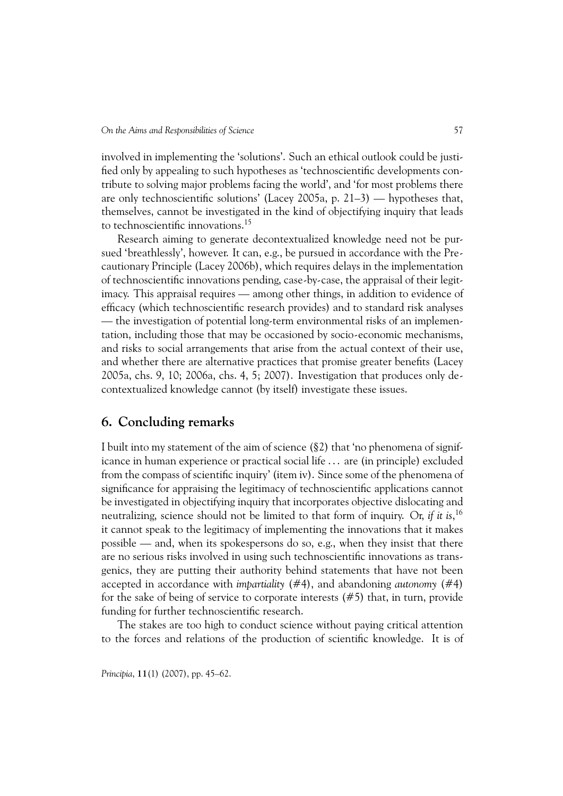involved in implementing the 'solutions'. Such an ethical outlook could be justified only by appealing to such hypotheses as 'technoscientific developments contribute to solving major problems facing the world', and 'for most problems there are only technoscientific solutions' (Lacey 2005a, p. 21–3) — hypotheses that, themselves, cannot be investigated in the kind of objectifying inquiry that leads to technoscientific innovations.<sup>15</sup>

Research aiming to generate decontextualized knowledge need not be pursued 'breathlessly', however. It can, e.g., be pursued in accordance with the Precautionary Principle (Lacey 2006b), which requires delays in the implementation of technoscientific innovations pending, case-by-case, the appraisal of their legitimacy. This appraisal requires — among other things, in addition to evidence of efficacy (which technoscientific research provides) and to standard risk analyses — the investigation of potential long-term environmental risks of an implementation, including those that may be occasioned by socio-economic mechanisms, and risks to social arrangements that arise from the actual context of their use, and whether there are alternative practices that promise greater benefits (Lacey 2005a, chs. 9, 10; 2006a, chs. 4, 5; 2007). Investigation that produces only decontextualized knowledge cannot (by itself) investigate these issues.

### **6. Concluding remarks**

I built into my statement of the aim of science (§2) that 'no phenomena of significance in human experience or practical social life . . . are (in principle) excluded from the compass of scientific inquiry' (item iv). Since some of the phenomena of significance for appraising the legitimacy of technoscientific applications cannot be investigated in objectifying inquiry that incorporates objective dislocating and neutralizing, science should not be limited to that form of inquiry. Or, *if it is*, 16 it cannot speak to the legitimacy of implementing the innovations that it makes possible — and, when its spokespersons do so, e.g., when they insist that there are no serious risks involved in using such technoscientific innovations as transgenics, they are putting their authority behind statements that have not been accepted in accordance with *impartiality* (#4), and abandoning *autonomy* (#4) for the sake of being of service to corporate interests (#5) that, in turn, provide funding for further technoscientific research.

The stakes are too high to conduct science without paying critical attention to the forces and relations of the production of scientific knowledge. It is of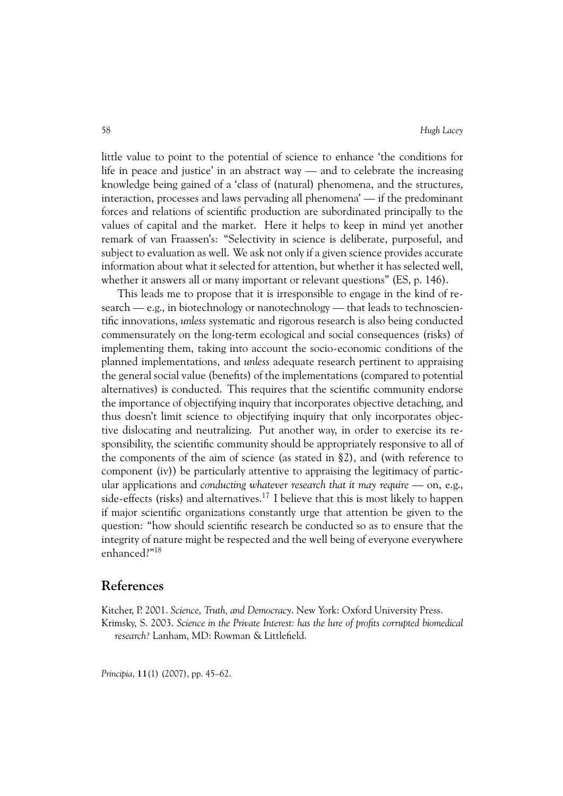little value to point to the potential of science to enhance 'the conditions for life in peace and justice' in an abstract way — and to celebrate the increasing knowledge being gained of a 'class of (natural) phenomena, and the structures, interaction, processes and laws pervading all phenomena' — if the predominant forces and relations of scientific production are subordinated principally to the values of capital and the market. Here it helps to keep in mind yet another remark of van Fraassen's: "Selectivity in science is deliberate, purposeful, and subject to evaluation as well. We ask not only if a given science provides accurate information about what it selected for attention, but whether it has selected well, whether it answers all or many important or relevant questions" (ES, p. 146).

This leads me to propose that it is irresponsible to engage in the kind of research — e.g., in biotechnology or nanotechnology — that leads to technoscientific innovations, *unless* systematic and rigorous research is also being conducted commensurately on the long-term ecological and social consequences (risks) of implementing them, taking into account the socio-economic conditions of the planned implementations, and *unless* adequate research pertinent to appraising the general social value (benefits) of the implementations (compared to potential alternatives) is conducted. This requires that the scientific community endorse the importance of objectifying inquiry that incorporates objective detaching, and thus doesn't limit science to objectifying inquiry that only incorporates objective dislocating and neutralizing. Put another way, in order to exercise its responsibility, the scientific community should be appropriately responsive to all of the components of the aim of science (as stated in §2), and (with reference to component (iv)) be particularly attentive to appraising the legitimacy of particular applications and *conducting whatever research that it may require* — on, e.g., side-effects (risks) and alternatives.<sup>17</sup> I believe that this is most likely to happen if major scientific organizations constantly urge that attention be given to the question: "how should scientific research be conducted so as to ensure that the integrity of nature might be respected and the well being of everyone everywhere enhanced?"18

### **References**

Kitcher, P. 2001. *Science, Truth, and Democracy*. New York: Oxford University Press. Krimsky, S. 2003. *Science in the Private Interest: has the lure of profits corrupted biomedical research?* Lanham, MD: Rowman & Littlefield.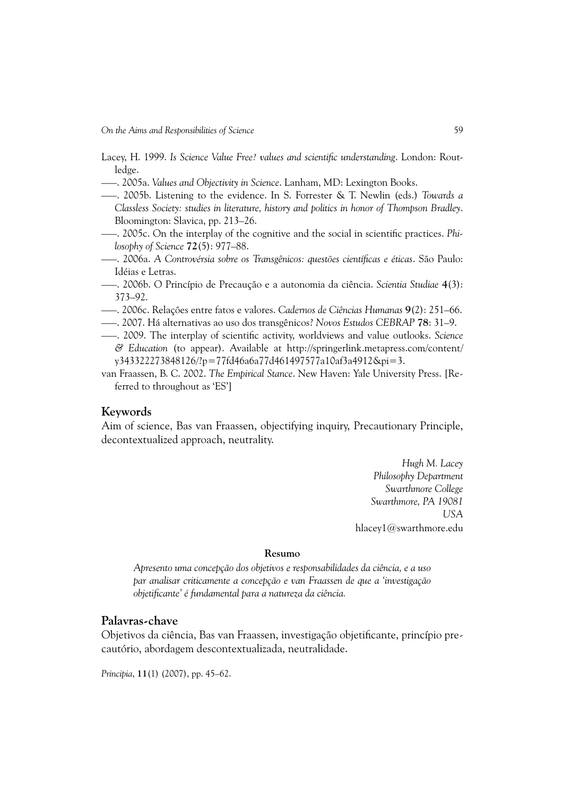- Lacey, H. 1999. *Is Science Value Free? values and scientific understanding*. London: Routledge.
- —–. 2005a. *Values and Objectivity in Science*. Lanham, MD: Lexington Books.
- —–. 2005b. Listening to the evidence. In S. Forrester & T. Newlin (eds.) *Towards a Classless Society: studies in literature, history and politics in honor of Thompson Bradley*. Bloomington: Slavica, pp. 213–26.
- —–. 2005c. On the interplay of the cognitive and the social in scientific practices. *Philosophy of Science* **72**(5): 977–88.
- —–. 2006a. *A Controvérsia sobre os Transgênicos: questões científicas e éticas*. São Paulo: Idéias e Letras.
- —–. 2006b. O Princípio de Precaução e a autonomia da ciência. *Scientia Studiae* **4**(3): 373–92.
- —–. 2006c. Relações entre fatos e valores. *Cadernos de Ciências Humanas* **9**(2): 251–66.
- —–. 2007. Há alternativas ao uso dos transgênicos? *Novos Estudos CEBRAP* **78**: 31–9.
- —–. 2009. The interplay of scientific activity, worldviews and value outlooks. *Science & Education* (to appear). Available at http://springerlink.metapress.com/content/ y343322273848126/?p=77fd46a6a77d461497577a10af3a4912&pi=3.
- van Fraassen, B. C. 2002. *The Empirical Stance*. New Haven: Yale University Press. [Referred to throughout as 'ES']

#### **Keywords**

Aim of science, Bas van Fraassen, objectifying inquiry, Precautionary Principle, decontextualized approach, neutrality.

> *Hugh M. Lacey Philosophy Department Swarthmore College Swarthmore, PA 19081 USA* hlacey1@swarthmore.edu

#### **Resumo**

*Apresento uma concepção dos objetivos e responsabilidades da ciência, e a uso par analisar criticamente a concepção e van Fraassen de que a 'investigação objetificante' é fundamental para a natureza da ciência.*

#### **Palavras-chave**

Objetivos da ciência, Bas van Fraassen, investigação objetificante, princípio precautório, abordagem descontextualizada, neutralidade.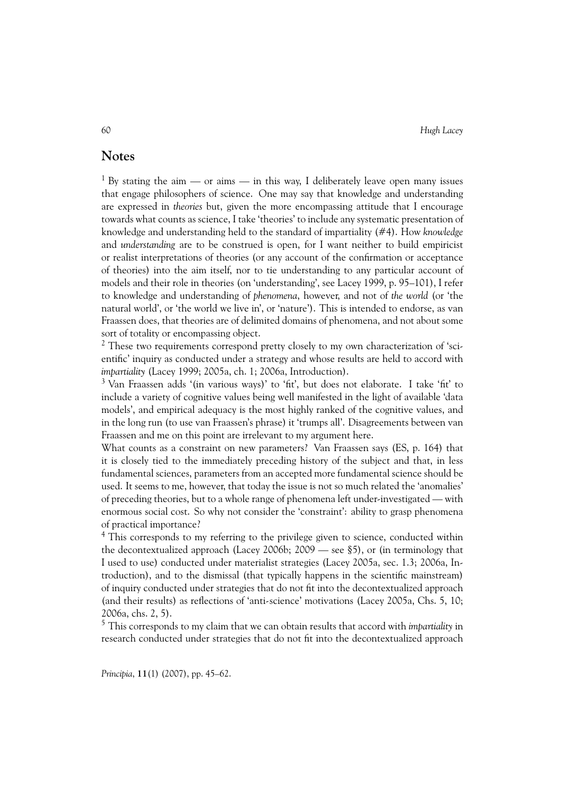### **Notes**

<sup>1</sup> By stating the aim — or aims — in this way, I deliberately leave open many issues that engage philosophers of science. One may say that knowledge and understanding are expressed in *theories* but, given the more encompassing attitude that I encourage towards what counts as science, I take 'theories' to include any systematic presentation of knowledge and understanding held to the standard of impartiality (#4). How *knowledge* and *understanding* are to be construed is open, for I want neither to build empiricist or realist interpretations of theories (or any account of the confirmation or acceptance of theories) into the aim itself, nor to tie understanding to any particular account of models and their role in theories (on 'understanding', see Lacey 1999, p. 95–101), I refer to knowledge and understanding of *phenomena*, however, and not of *the world* (or 'the natural world', or 'the world we live in', or 'nature'). This is intended to endorse, as van Fraassen does, that theories are of delimited domains of phenomena, and not about some sort of totality or encompassing object.

 $2$  These two requirements correspond pretty closely to my own characterization of 'scientific' inquiry as conducted under a strategy and whose results are held to accord with *impartiality* (Lacey 1999; 2005a, ch. 1; 2006a, Introduction).

 $3$  Van Fraassen adds '(in various ways)' to 'fit', but does not elaborate. I take 'fit' to include a variety of cognitive values being well manifested in the light of available 'data models', and empirical adequacy is the most highly ranked of the cognitive values, and in the long run (to use van Fraassen's phrase) it 'trumps all'. Disagreements between van Fraassen and me on this point are irrelevant to my argument here.

What counts as a constraint on new parameters? Van Fraassen says (ES, p. 164) that it is closely tied to the immediately preceding history of the subject and that, in less fundamental sciences, parameters from an accepted more fundamental science should be used. It seems to me, however, that today the issue is not so much related the 'anomalies' of preceding theories, but to a whole range of phenomena left under-investigated — with enormous social cost. So why not consider the 'constraint': ability to grasp phenomena of practical importance?

<sup>4</sup> This corresponds to my referring to the privilege given to science, conducted within the decontextualized approach (Lacey 2006b; 2009 — see §5), or (in terminology that I used to use) conducted under materialist strategies (Lacey 2005a, sec. 1.3; 2006a, Introduction), and to the dismissal (that typically happens in the scientific mainstream) of inquiry conducted under strategies that do not fit into the decontextualized approach (and their results) as reflections of 'anti-science' motivations (Lacey 2005a, Chs. 5, 10; 2006a, chs. 2, 5).

<sup>5</sup> This corresponds to my claim that we can obtain results that accord with *impartiality* in research conducted under strategies that do not fit into the decontextualized approach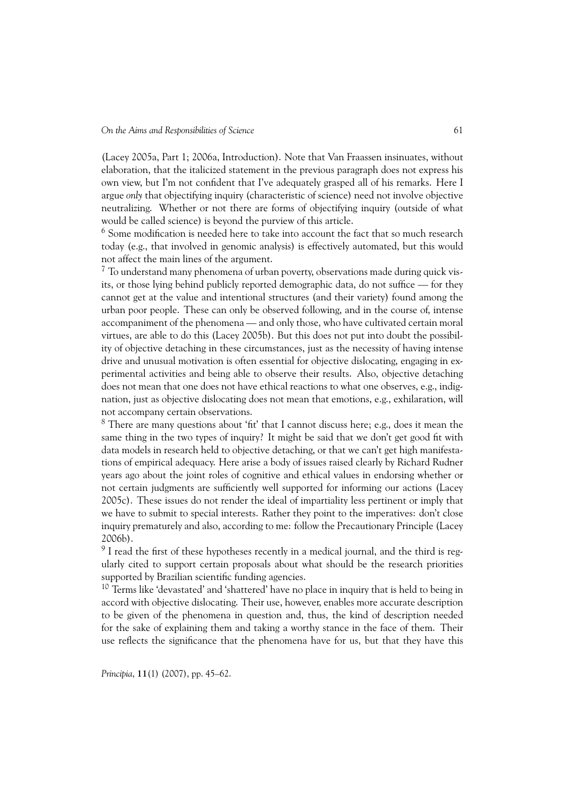(Lacey 2005a, Part 1; 2006a, Introduction). Note that Van Fraassen insinuates, without elaboration, that the italicized statement in the previous paragraph does not express his own view, but I'm not confident that I've adequately grasped all of his remarks. Here I argue *only* that objectifying inquiry (characteristic of science) need not involve objective neutralizing. Whether or not there are forms of objectifying inquiry (outside of what would be called science) is beyond the purview of this article.

 $^6$  Some modification is needed here to take into account the fact that so much research today (e.g., that involved in genomic analysis) is effectively automated, but this would not affect the main lines of the argument.

 $7$  To understand many phenomena of urban poverty, observations made during quick visits, or those lying behind publicly reported demographic data, do not suffice — for they cannot get at the value and intentional structures (and their variety) found among the urban poor people. These can only be observed following, and in the course of, intense accompaniment of the phenomena — and only those, who have cultivated certain moral virtues, are able to do this (Lacey 2005b). But this does not put into doubt the possibility of objective detaching in these circumstances, just as the necessity of having intense drive and unusual motivation is often essential for objective dislocating, engaging in experimental activities and being able to observe their results. Also, objective detaching does not mean that one does not have ethical reactions to what one observes, e.g., indignation, just as objective dislocating does not mean that emotions, e.g., exhilaration, will not accompany certain observations.

 $8$  There are many questions about 'fit' that I cannot discuss here; e.g., does it mean the same thing in the two types of inquiry? It might be said that we don't get good fit with data models in research held to objective detaching, or that we can't get high manifestations of empirical adequacy. Here arise a body of issues raised clearly by Richard Rudner years ago about the joint roles of cognitive and ethical values in endorsing whether or not certain judgments are sufficiently well supported for informing our actions (Lacey 2005c). These issues do not render the ideal of impartiality less pertinent or imply that we have to submit to special interests. Rather they point to the imperatives: don't close inquiry prematurely and also, according to me: follow the Precautionary Principle (Lacey 2006b).

 $9$  I read the first of these hypotheses recently in a medical journal, and the third is regularly cited to support certain proposals about what should be the research priorities supported by Brazilian scientific funding agencies.

<sup>10</sup> Terms like 'devastated' and 'shattered' have no place in inquiry that is held to being in accord with objective dislocating. Their use, however, enables more accurate description to be given of the phenomena in question and, thus, the kind of description needed for the sake of explaining them and taking a worthy stance in the face of them. Their use reflects the significance that the phenomena have for us, but that they have this